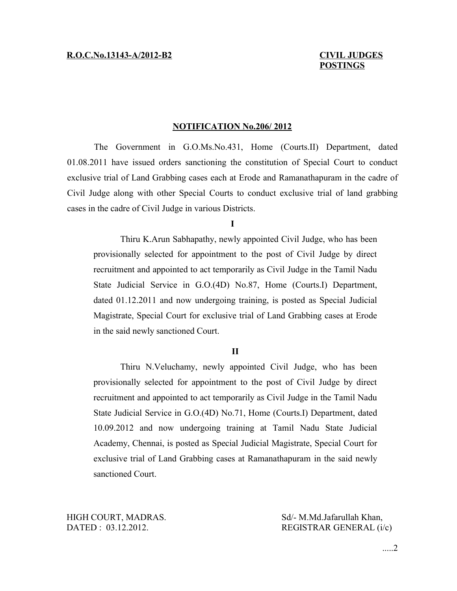# **POSTINGS**

### **NOTIFICATION No.206/ 2012**

The Government in G.O.Ms.No.431, Home (Courts.II) Department, dated 01.08.2011 have issued orders sanctioning the constitution of Special Court to conduct exclusive trial of Land Grabbing cases each at Erode and Ramanathapuram in the cadre of Civil Judge along with other Special Courts to conduct exclusive trial of land grabbing cases in the cadre of Civil Judge in various Districts.

#### **I**

Thiru K.Arun Sabhapathy, newly appointed Civil Judge, who has been provisionally selected for appointment to the post of Civil Judge by direct recruitment and appointed to act temporarily as Civil Judge in the Tamil Nadu State Judicial Service in G.O.(4D) No.87, Home (Courts.I) Department, dated 01.12.2011 and now undergoing training, is posted as Special Judicial Magistrate, Special Court for exclusive trial of Land Grabbing cases at Erode in the said newly sanctioned Court.

#### **II**

Thiru N.Veluchamy, newly appointed Civil Judge, who has been provisionally selected for appointment to the post of Civil Judge by direct recruitment and appointed to act temporarily as Civil Judge in the Tamil Nadu State Judicial Service in G.O.(4D) No.71, Home (Courts.I) Department, dated 10.09.2012 and now undergoing training at Tamil Nadu State Judicial Academy, Chennai, is posted as Special Judicial Magistrate, Special Court for exclusive trial of Land Grabbing cases at Ramanathapuram in the said newly sanctioned Court.

HIGH COURT, MADRAS. Sd/- M.Md.Jafarullah Khan,

DATED : 03.12.2012. REGISTRAR GENERAL (i/c)